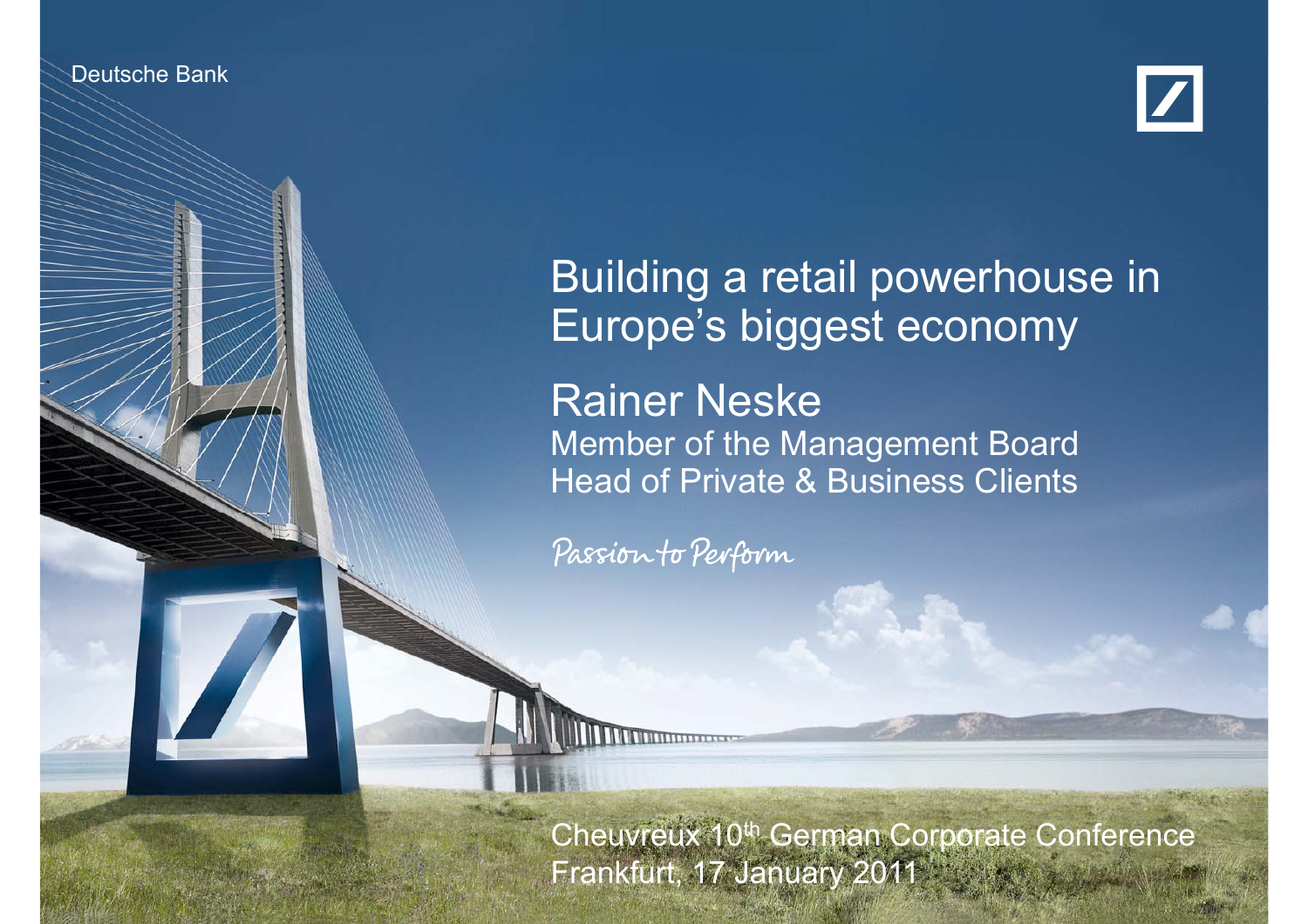

Deutsche Bank Bank Bank Investor Relations



## Building a retail powerhouse in Europe's biggest economy Rainer Neske Member of the Management Board Head of Private & Business Clients

Passion to Perform

Rainer Neske 17 January 2011

Frankfurt, 17 January 2011. In the state of the U Cheuvreux 10<sup>th</sup> German Corporate Conference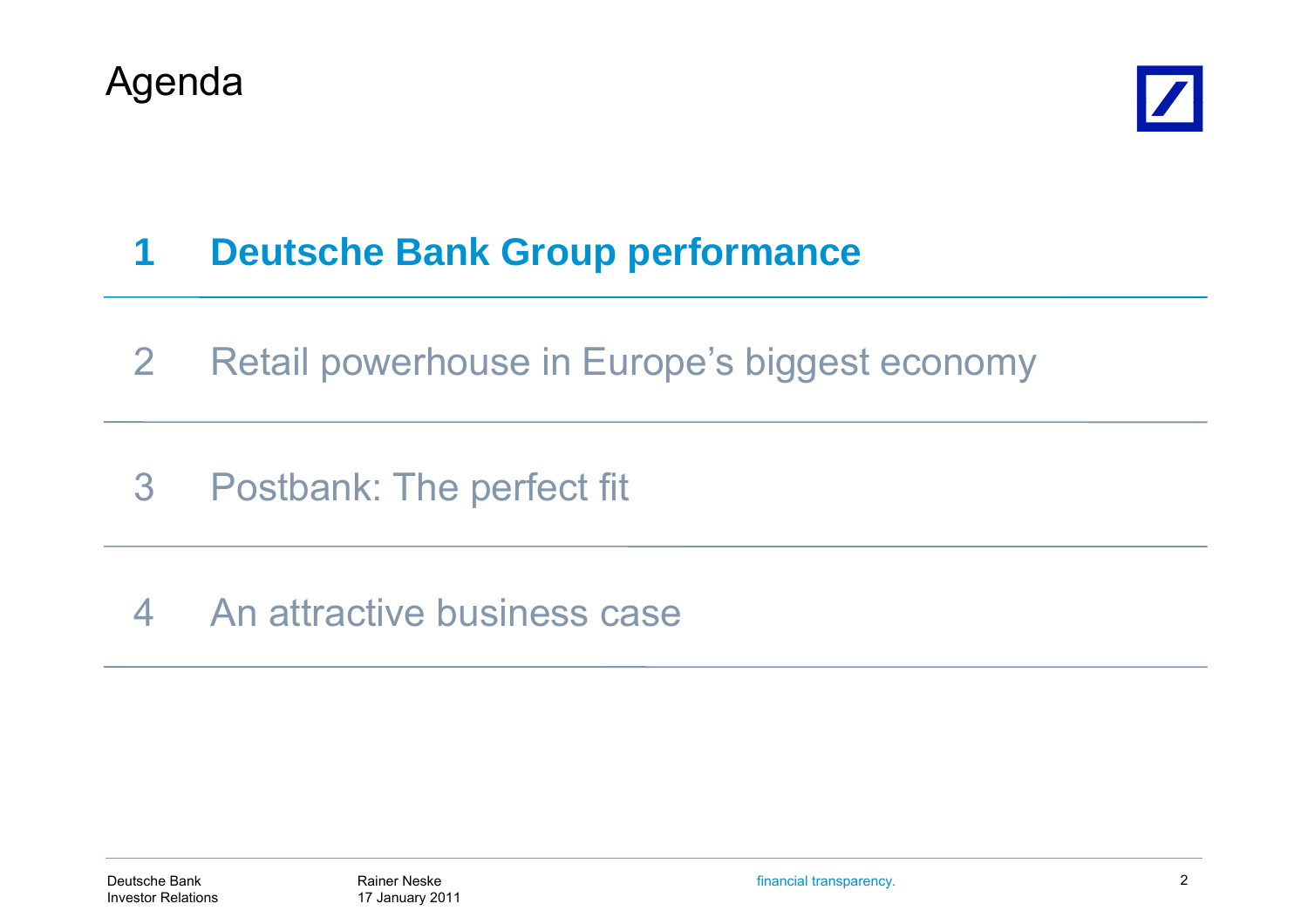



#### **1Deutsche Bank Group performance**

- 2Retail powerhouse in Europe's biggest economy
- 3 Postbank: The perfect fit
- 4 An attractive business case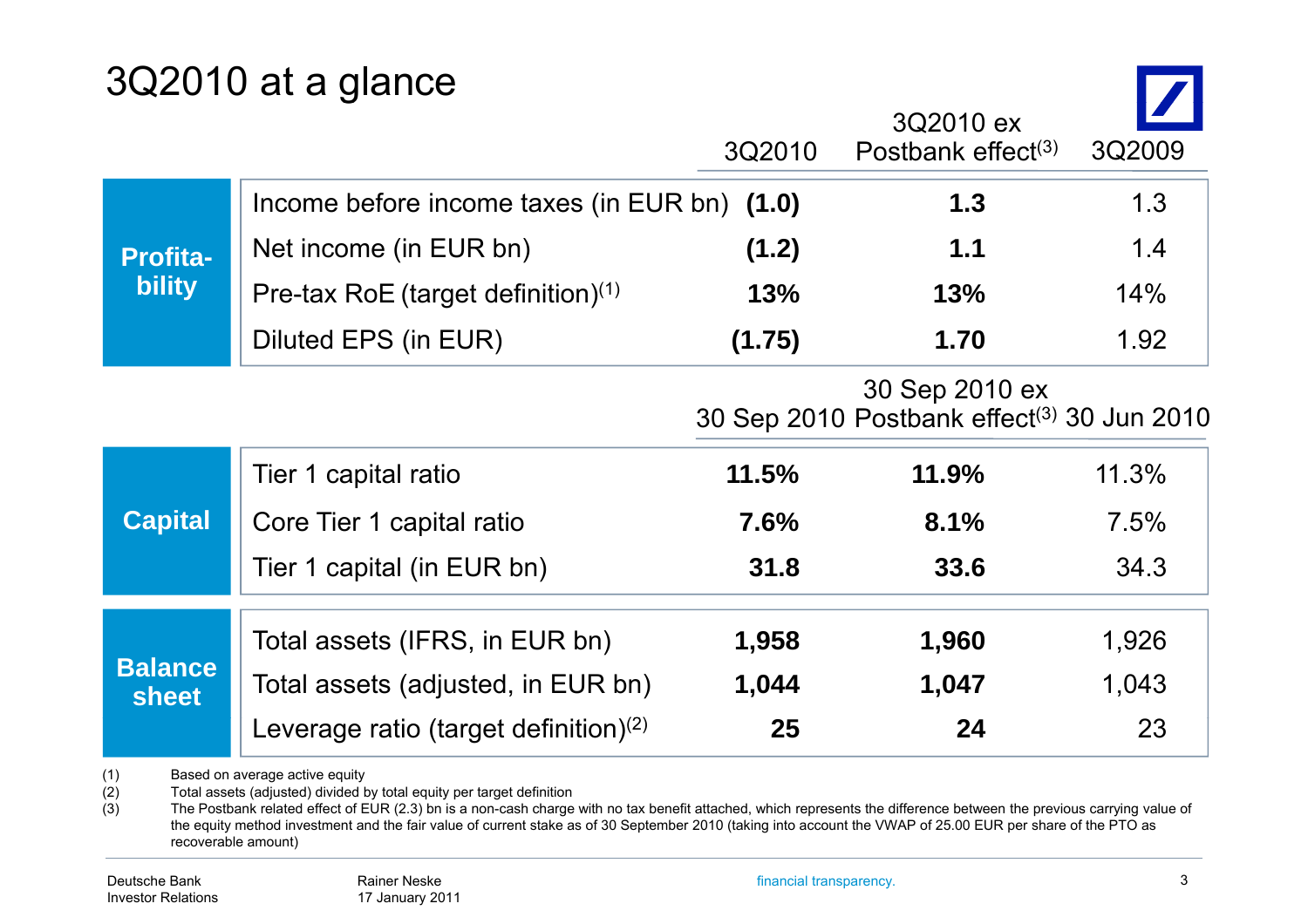## 3Q2010 at a glance

|                                                | 3Q2010 | 3Q2010 ex<br>Postbank effect $(3)$           | 3Q2009                                                 |
|------------------------------------------------|--------|----------------------------------------------|--------------------------------------------------------|
|                                                |        | 1.3                                          | 1.3                                                    |
| Net income (in EUR bn)                         | (1.2)  | 1.1                                          | 1.4                                                    |
| Pre-tax RoE (target definition) <sup>(1)</sup> | 13%    | 13%                                          | 14%                                                    |
| Diluted EPS (in EUR)                           | (1.75) | 1.70                                         | 1.92                                                   |
|                                                |        | 30 Sep 2010 ex                               |                                                        |
| Tier 1 capital ratio                           | 11.5%  | 11.9%                                        | 11.3%                                                  |
| Core Tier 1 capital ratio                      | 7.6%   | 8.1%                                         | 7.5%                                                   |
| Tier 1 capital (in EUR bn)                     | 31.8   | 33.6                                         | 34.3                                                   |
| Total assets (IFRS, in EUR bn)                 | 1,958  | 1,960                                        | 1,926                                                  |
| Total assets (adjusted, in EUR bn)             | 1,044  | 1,047                                        | 1,043                                                  |
| Leverage ratio (target definition) $(2)$       | 25     | 24                                           | 23                                                     |
|                                                |        | Income before income taxes (in EUR bn) (1.0) | 30 Sep 2010 Postbank effect <sup>(3)</sup> 30 Jun 2010 |

(1) Based on average active equity<br>(2) Total assets (adjusted) divided b

(2) Total assets (adjusted) divided by total equity per target definition (3) The Postbank related effect of EUR  $(2.3)$  bn is a non-cash charge

The Postbank related effect of EUR (2.3) bn is a non-cash charge with no tax benefit attached, which represents the difference between the previous carrying value of the equity method investment and the fair value of current stake as of 30 September 2010 (taking into account the VWAP of 25.00 EUR per share of the PTO as recoverable amount)

 $\overline{\phantom{a}}$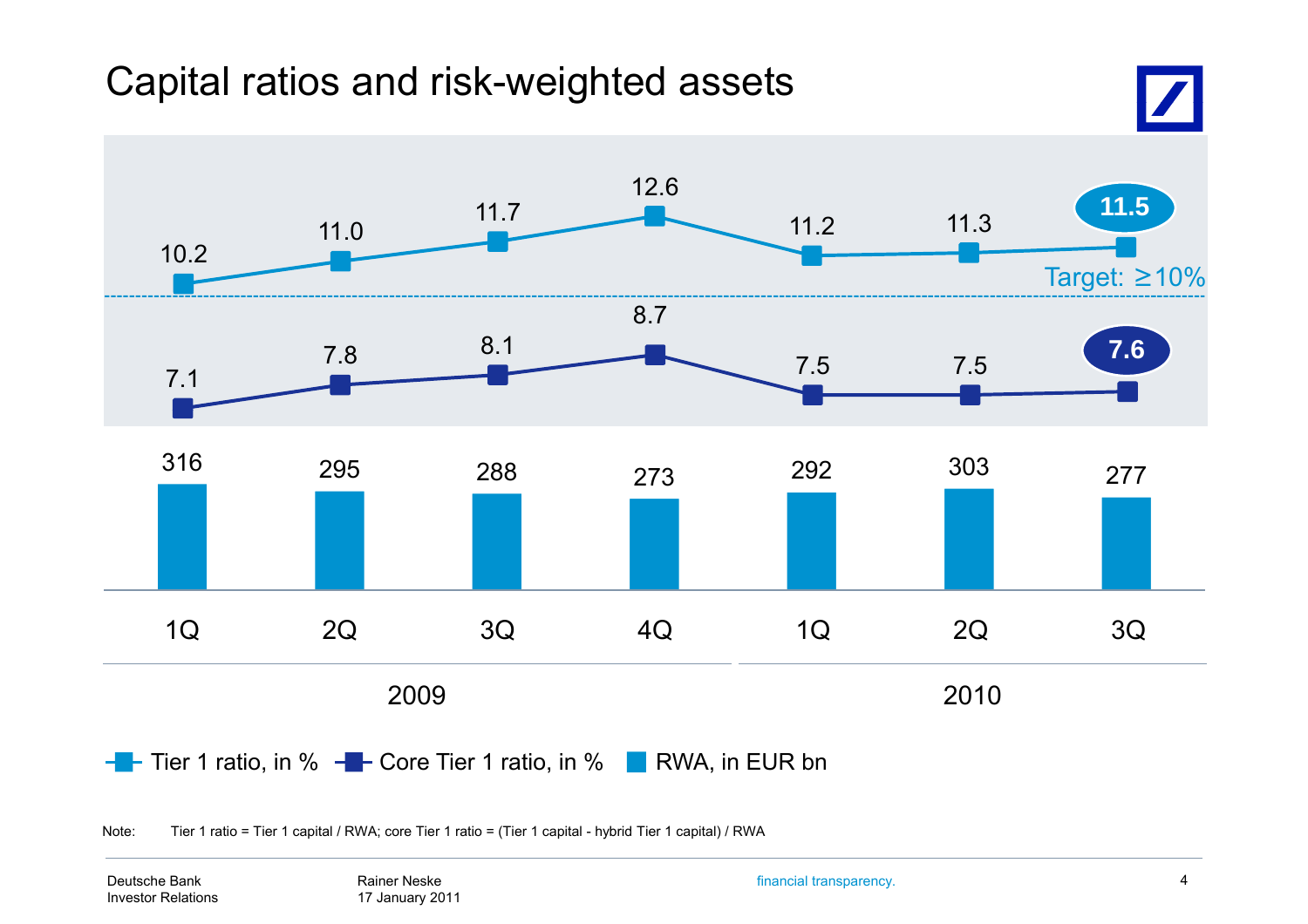## Capital ratios and risk-weighted assets



Note: Tier 1 ratio = Tier 1 capital / RWA; core Tier 1 ratio = (Tier 1 capital - hybrid Tier 1 capital) / RWA

Deutsche BankInvestor Relations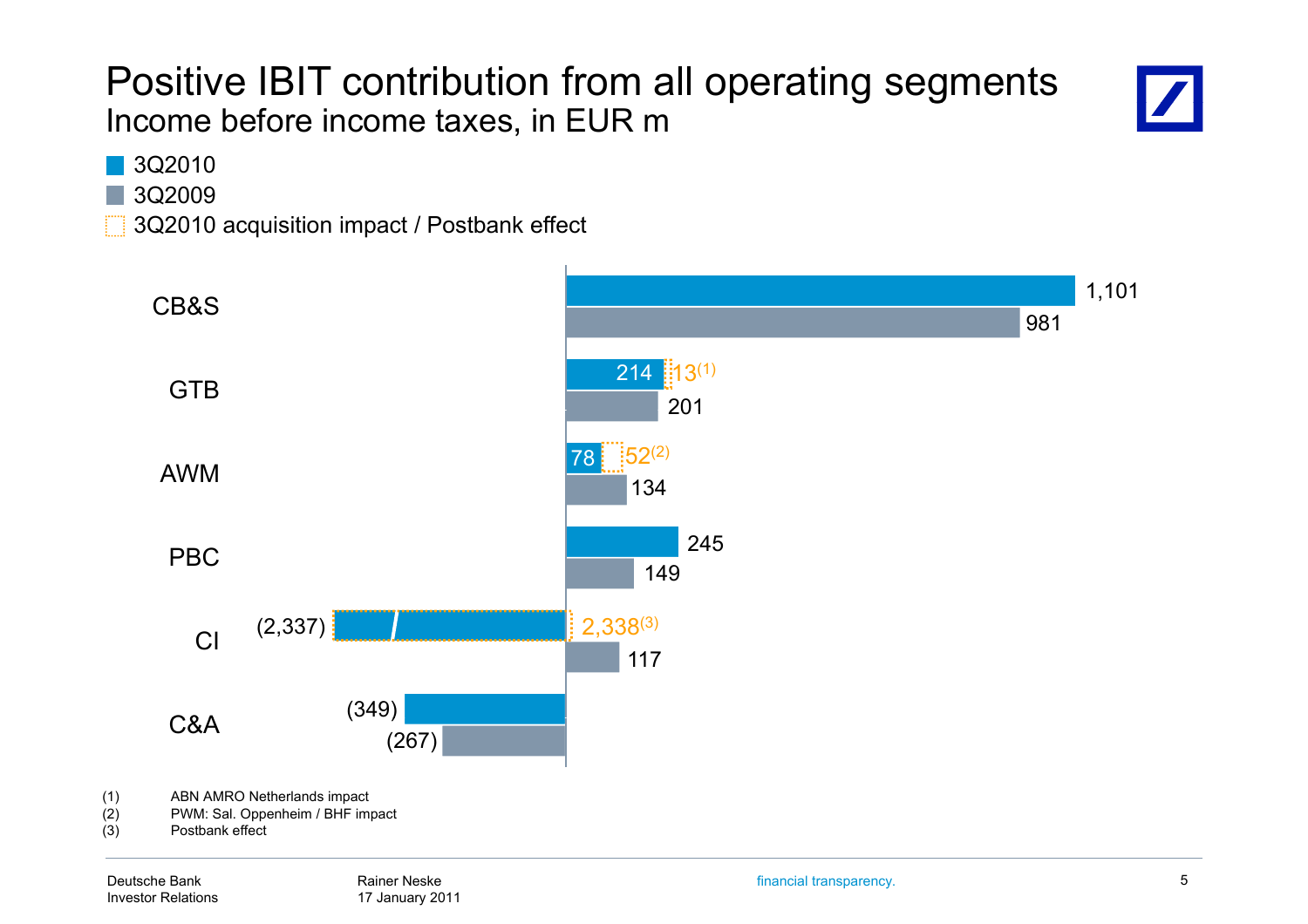### Positive IBIT contribution from all operating segments Income before income taxes, in EUR m



3Q2010

3Q2009

3Q2010 acquisition impact / Postbank effect

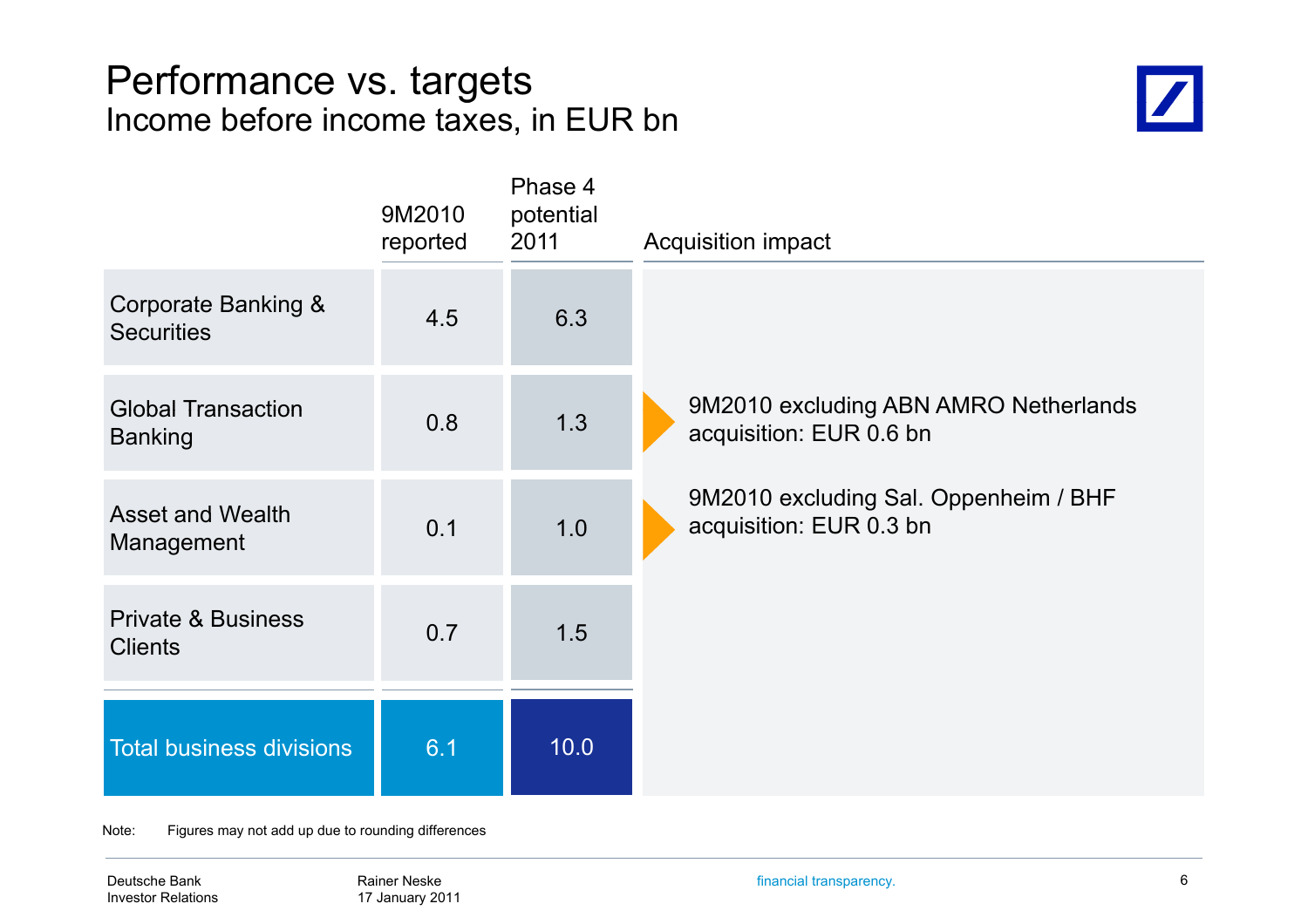#### Performance vs. targets Income before income taxes, in EUR bn



|                                                 | 9M2010<br>reported | Phase 4<br>potential<br>2011 | <b>Acquisition impact</b>                                        |
|-------------------------------------------------|--------------------|------------------------------|------------------------------------------------------------------|
| Corporate Banking &<br><b>Securities</b>        | 4.5                | 6.3                          |                                                                  |
| <b>Global Transaction</b><br><b>Banking</b>     | 0.8                | 1.3                          | 9M2010 excluding ABN AMRO Netherlands<br>acquisition: EUR 0.6 bn |
| <b>Asset and Wealth</b><br>Management           | 0.1                | 1.0                          | 9M2010 excluding Sal. Oppenheim / BHF<br>acquisition: EUR 0.3 bn |
| <b>Private &amp; Business</b><br><b>Clients</b> | 0.7                | 1.5                          |                                                                  |
| <b>Total business divisions</b>                 | 6.1                | 10.0                         |                                                                  |

Note: Figures may not add up due to rounding differences

Deutsche Bank Investor Relations financial transparency. 6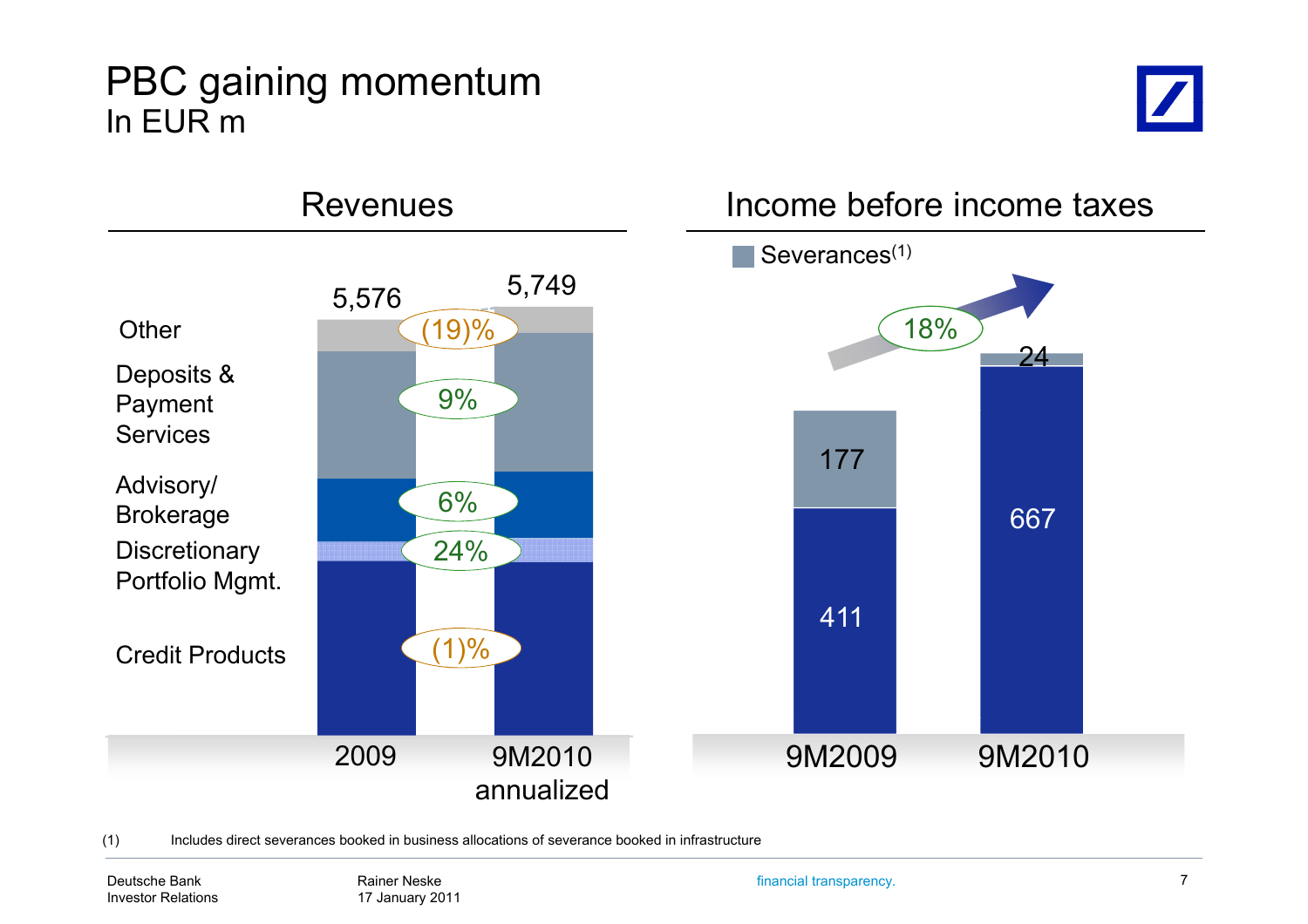### PBC gaining momentum In EUR m





(1) Includes direct severances booked in business allocations of severance booked in infrastructure

Deutsche BankInvestor Relations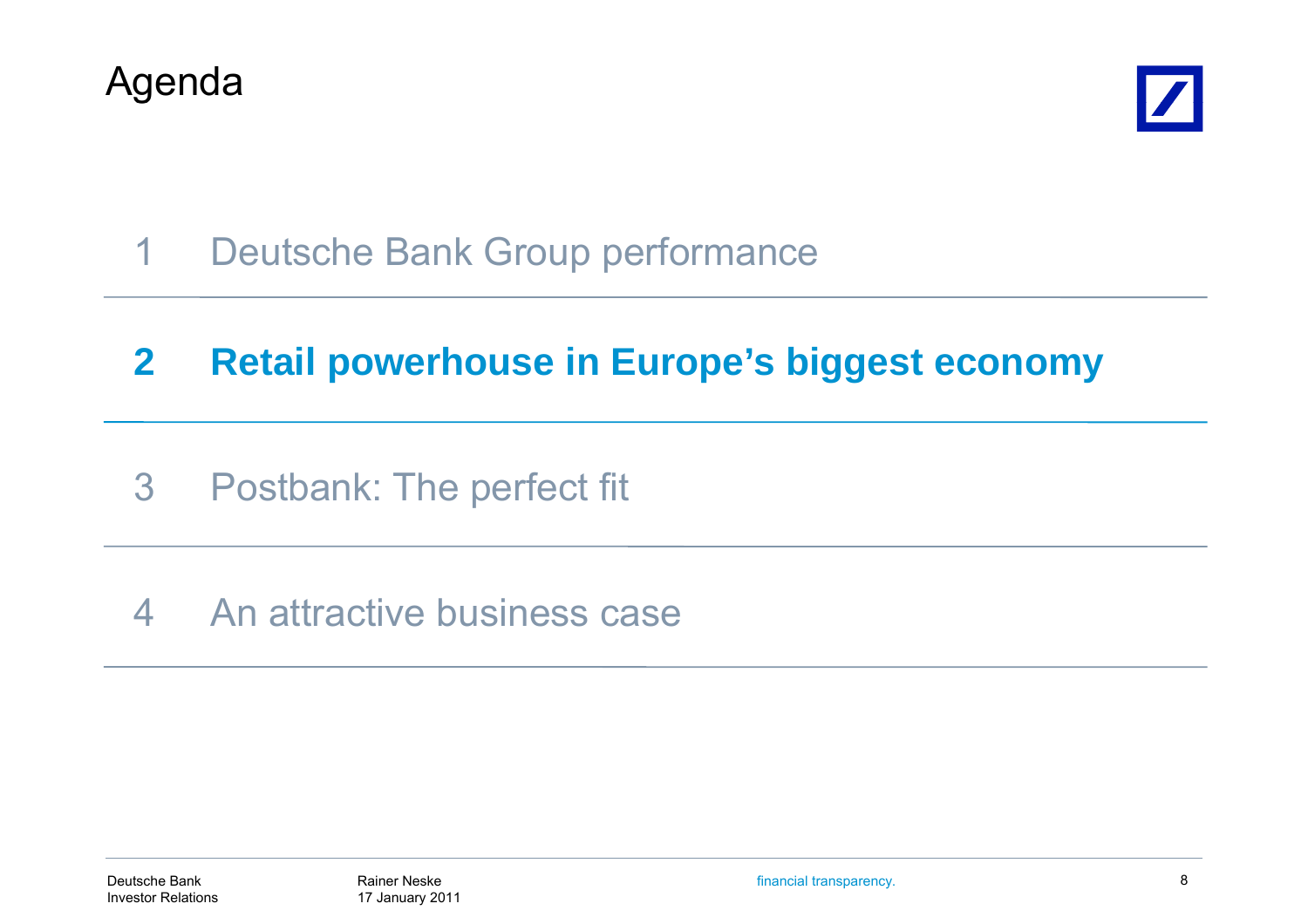



1Deutsche Bank Group performance

#### **2Retail powerhouse in Europe's biggest economy**

- 3 Postbank: The perfect fit
- 4 An attractive business case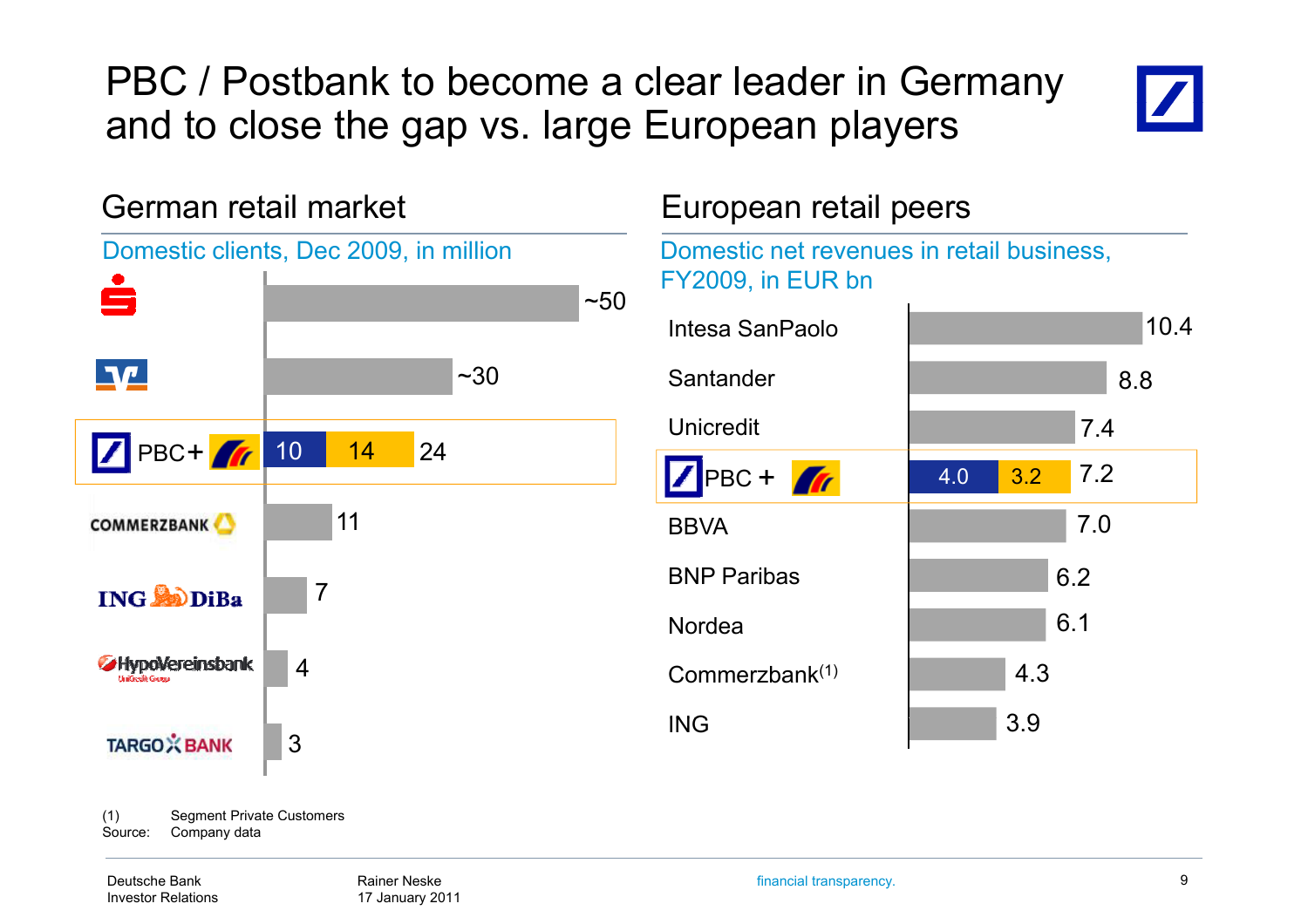PBC / Postbank to become a clear leader in Germany and to close the gap vs. large European players



German retail marketn retail market European retail peers Domestic clients, Dec 2009, in million  $~10^{-5}$  $\P\Psi$  $~1.30$ PBC+ 6 10 14 24 11**COMMERZBANK** 7**ING CODIBa** HypoVereinsbank 4TARGOX BANK 3<br>
(1) Segment Private Customers 3

Domestic net revenues in retail business, FY2009, in EUR bn



(1) Seament Private Customers Source: Company data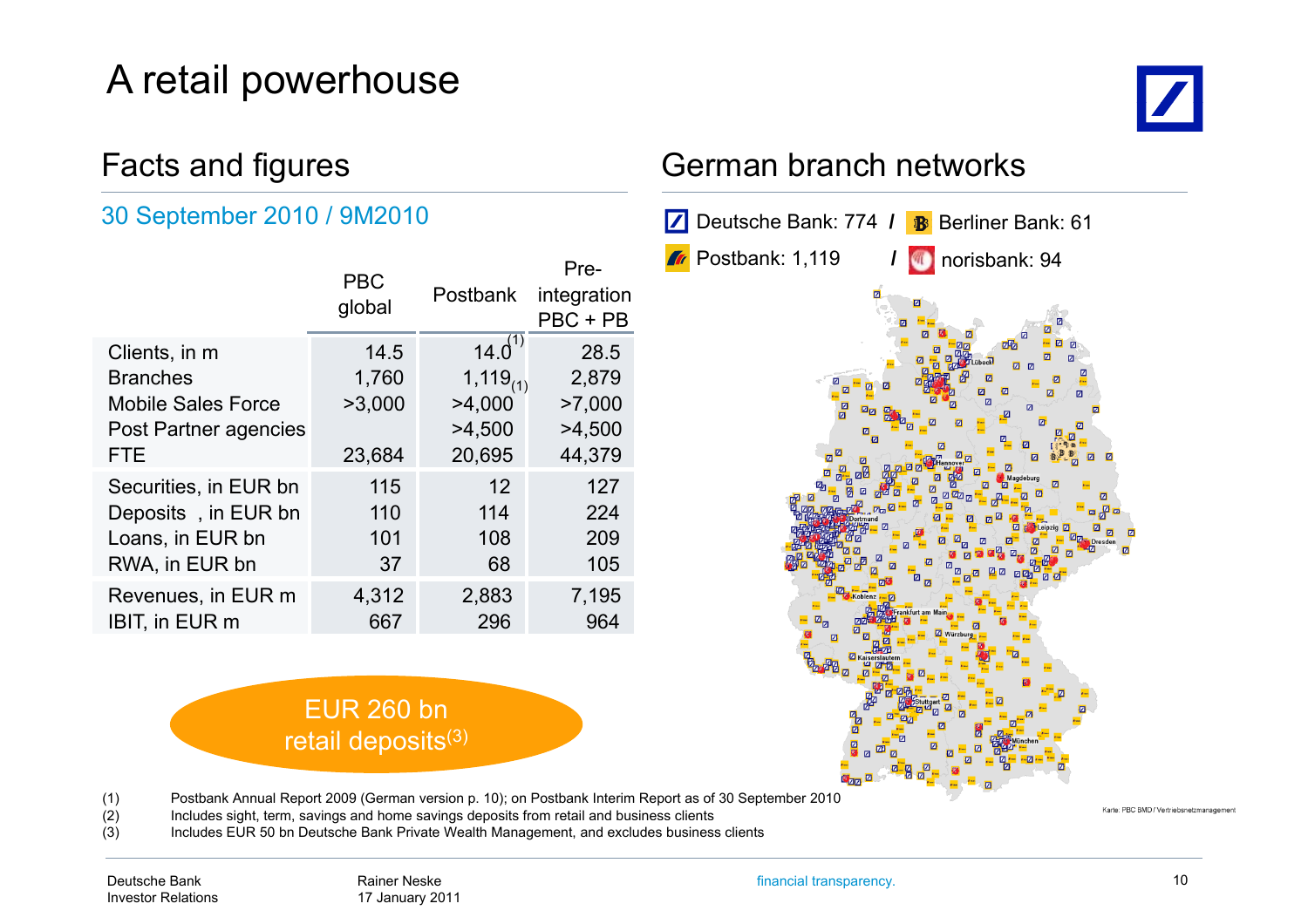## A retail powerhouse

# $\boldsymbol{Z}$

#### 30 September 2010 / 9M2010

|                           | <b>PBC</b><br>global | <b>Postbank</b> | Pre-<br>integration<br>PBC + PB |
|---------------------------|----------------------|-----------------|---------------------------------|
| Clients, in m             | 14.5                 | $14.0^{(1)}$    | 28.5                            |
| <b>Branches</b>           | 1,760                | $1,119_{(1)}$   | 2,879                           |
| <b>Mobile Sales Force</b> | >3,000               | >4,000          | >7,000                          |
| Post Partner agencies     |                      | >4,500          | >4,500                          |
| <b>FTE</b>                | 23,684               | 20,695          | 44,379                          |
| Securities, in EUR bn     | 115                  | 12              | 127                             |
| Deposits, in EUR bn       | 110                  | 114             | 224                             |
| Loans, in EUR bn          | 101                  | 108             | 209                             |
| RWA, in EUR bn            | 37                   | 68              | 105                             |
| Revenues, in EUR m        | 4,312<br>667         | 2,883<br>296    | 7,195<br>964                    |
| <b>IBIT, in EUR m</b>     |                      |                 |                                 |

#### EUR 260 bn retail deposits<sup>(3)</sup>

#### Facts and figures **Facts** German branch networks



(1) Postbank Annual Report 2009 (German version p. 10); on Postbank Interim Report as of 30 September 2010

(2) Includes sight, term, savings and home savings deposits from retail and business clients

(3) Includes EUR 50 bn Deutsche Bank Private Wealth Management, and excludes business clients

Karte: PBC BMD / Vertriebsnetzmanagem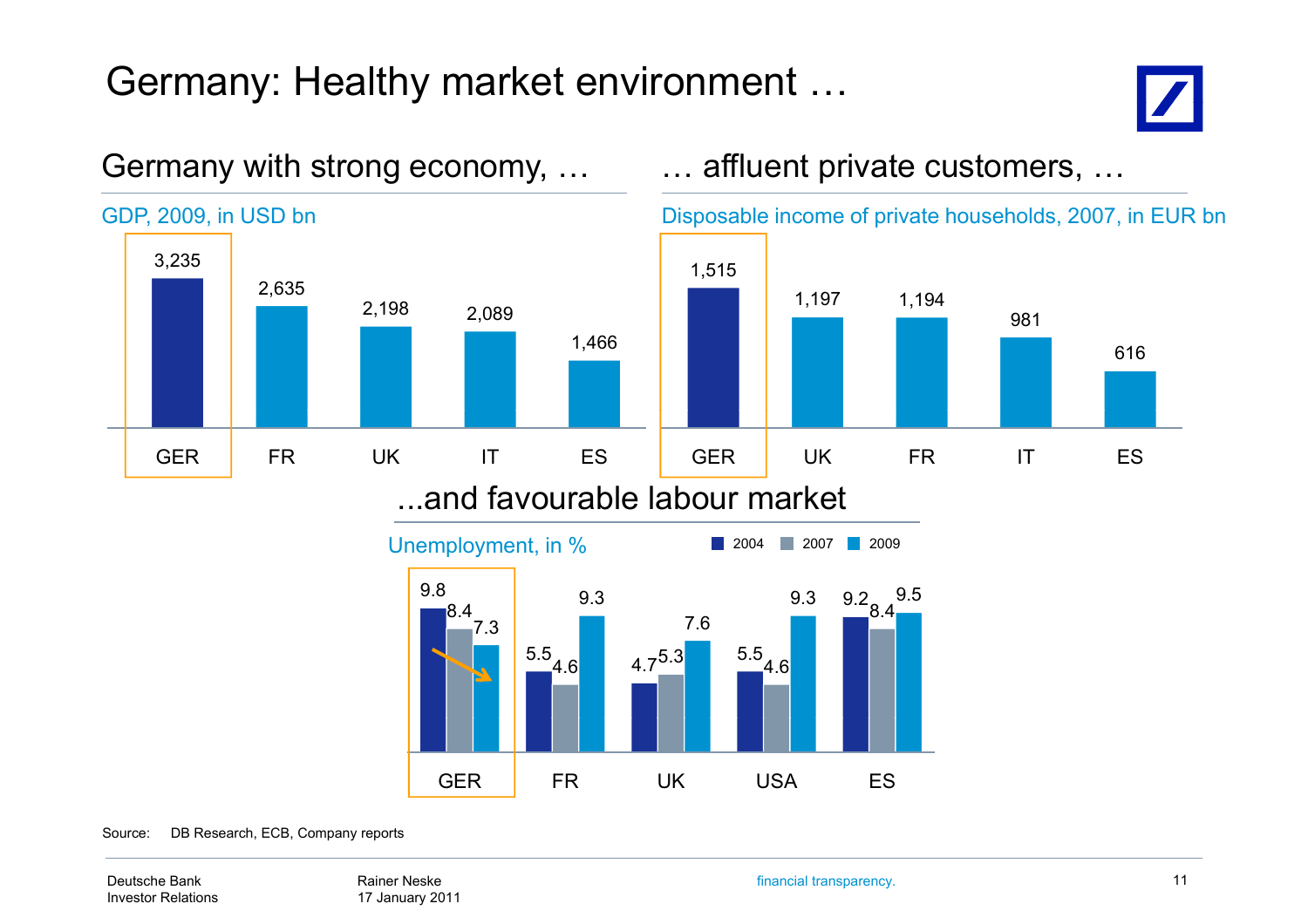## Germany: Healthy market environment …



616



GER FR UK USA ES

#### Germany with strong economy, ... **Ease all many interpret customers, ...**

Source: DB Research, ECB, Company reports

Deutsche BankInvestor Relations

Rainer Neske17 January 2011 financial transparency. 11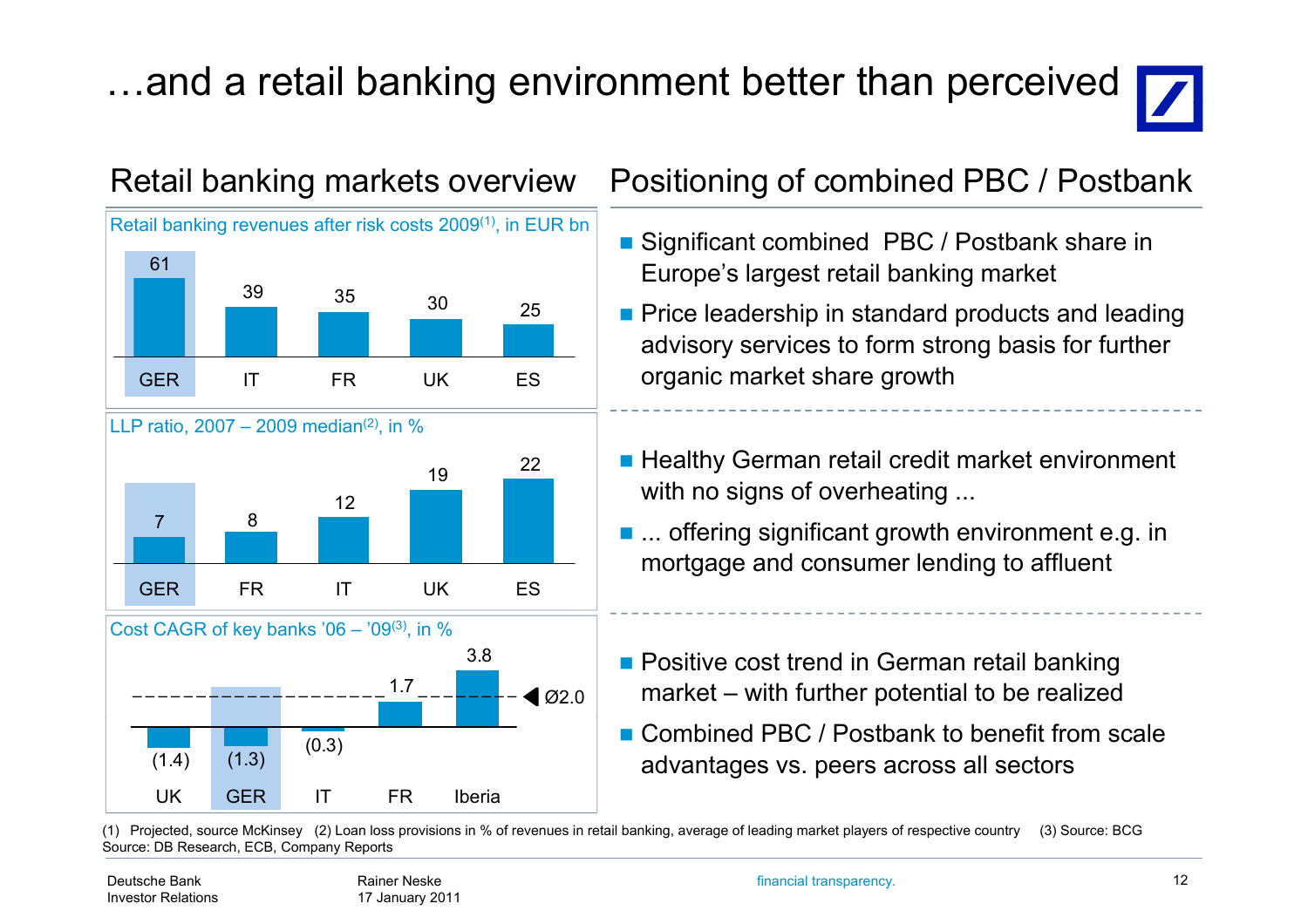## ...and a retail banking environment better than perceived







#### Retail banking markets overview Positioning of combined PBC / Postbank

- Significant combined PBC / Postbank share in Europe's largest retail banking market
- $\frac{1}{2}$   $\frac{1}{25}$  Price leadership in standard products and leading advisory services to form strong basis for further organic market share growth
	- Healthy German retail credit market environment with no signs of overheating ...
	- ... offering significant growth environment e.g. in mortgage and consumer lending to affluent
	- **Positive cost trend in German retail banking** market – with further potential to be realized
	- Combined PBC / Postbank to benefit from scale advantages vs. peers across all sectors

(1) Projected, source McKinsey (2) Loan loss provisions in % of revenues in retail banking, average of leading market players of respective country (3) Source: BCG Source: DB Research, ECB, Company Reports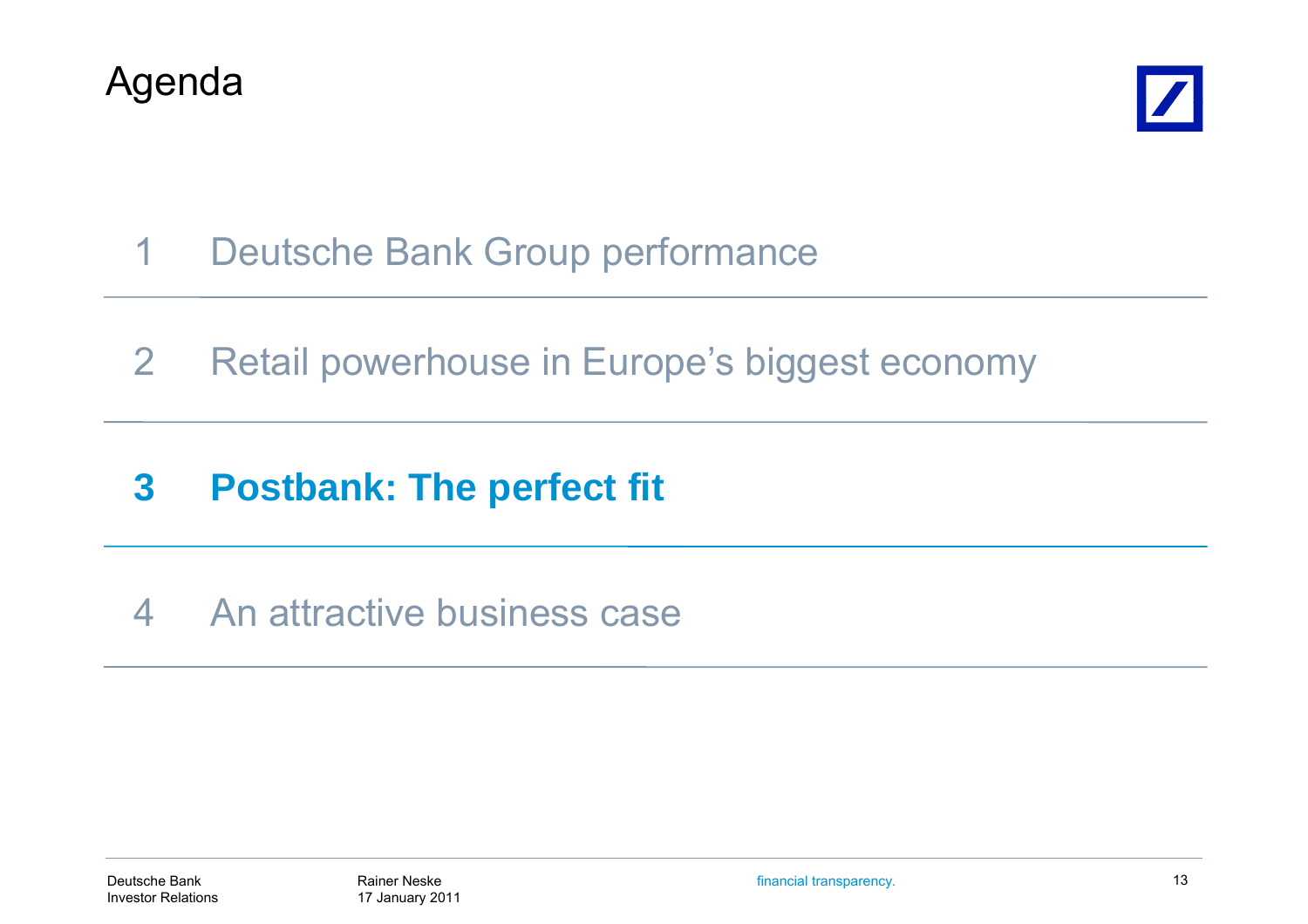



- 1Deutsche Bank Group performance
- 2Retail powerhouse in Europe's biggest economy
- **3Postbank: The perfect fit**
- 4 An attractive business case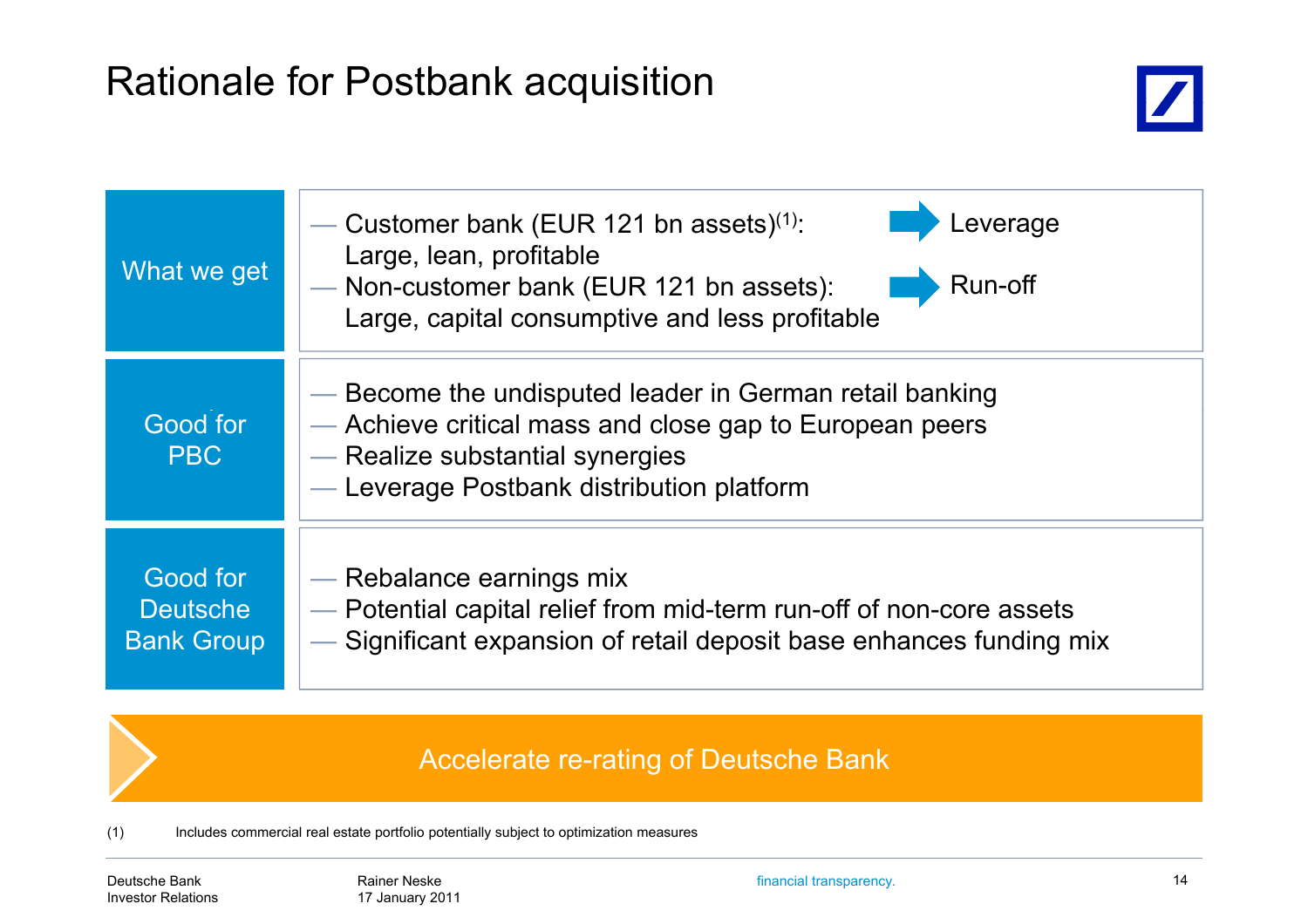## Rationale for Postbank ac quisition



| What we get                                      | everage<br>Customer bank (EUR 121 bn assets) <sup>(1)</sup> :<br>Large, lean, profitable<br>Run-off<br>- Non-customer bank (EUR 121 bn assets):<br>Large, capital consumptive and less profitable  |  |  |
|--------------------------------------------------|----------------------------------------------------------------------------------------------------------------------------------------------------------------------------------------------------|--|--|
| Good for<br><b>PBC</b>                           | — Become the undisputed leader in German retail banking<br>— Achieve critical mass and close gap to European peers<br>- Realize substantial synergies<br>- Leverage Postbank distribution platform |  |  |
| Good for<br><b>Deutsche</b><br><b>Bank Group</b> | — Rebalance earnings mix<br>- Potential capital relief from mid-term run-off of non-core assets<br>- Significant expansion of retail deposit base enhances funding mix                             |  |  |

#### Accelerate re-rating of Deutsche Bank

(1) Includes commercial real estate portfolio potentially subject to optimization measures

Deutsche BankInvestor Relations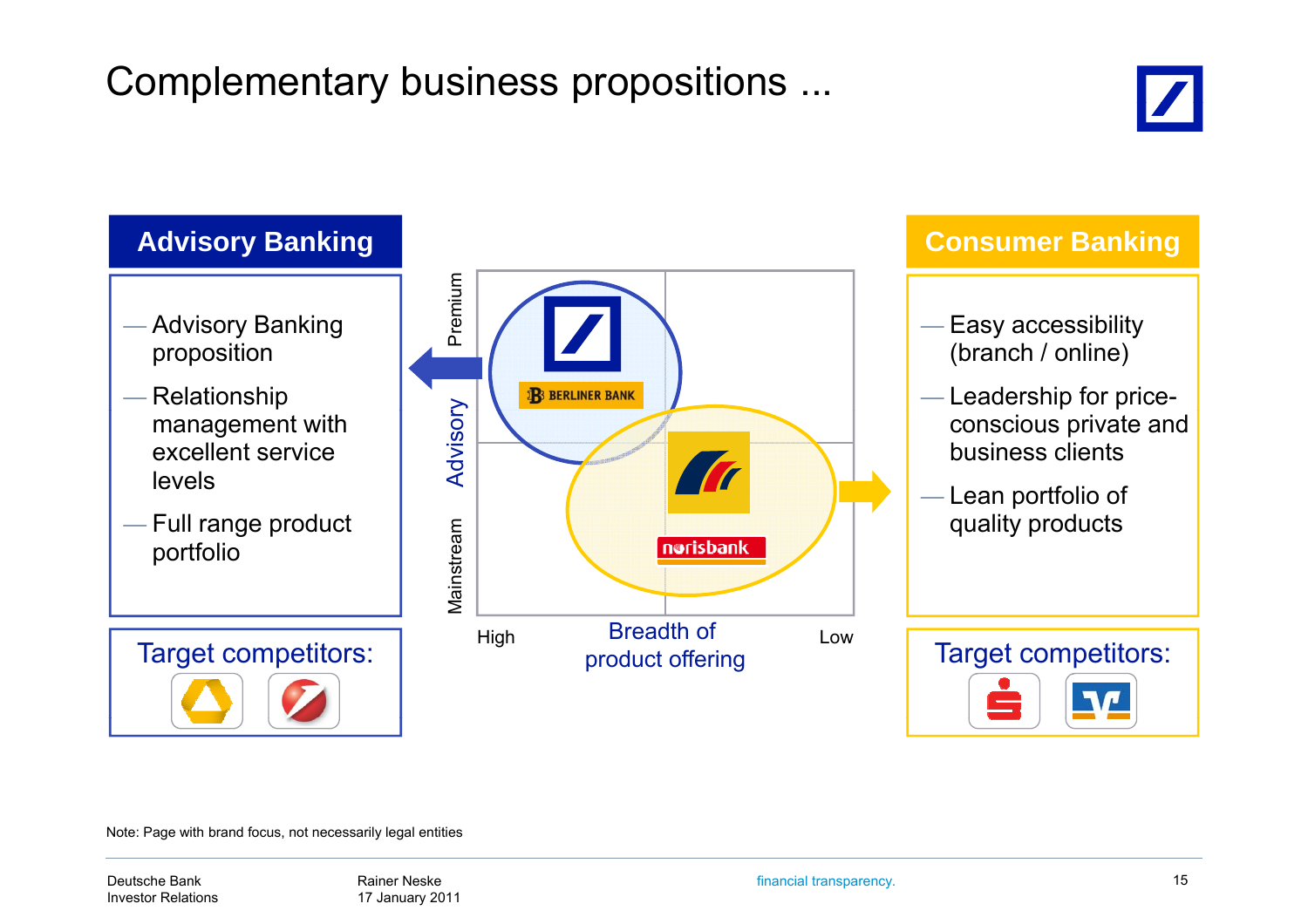## Complementary business propositions ...





Note: Page with brand focus, not necessarily legal entities

Deutsche BankInvestor Relations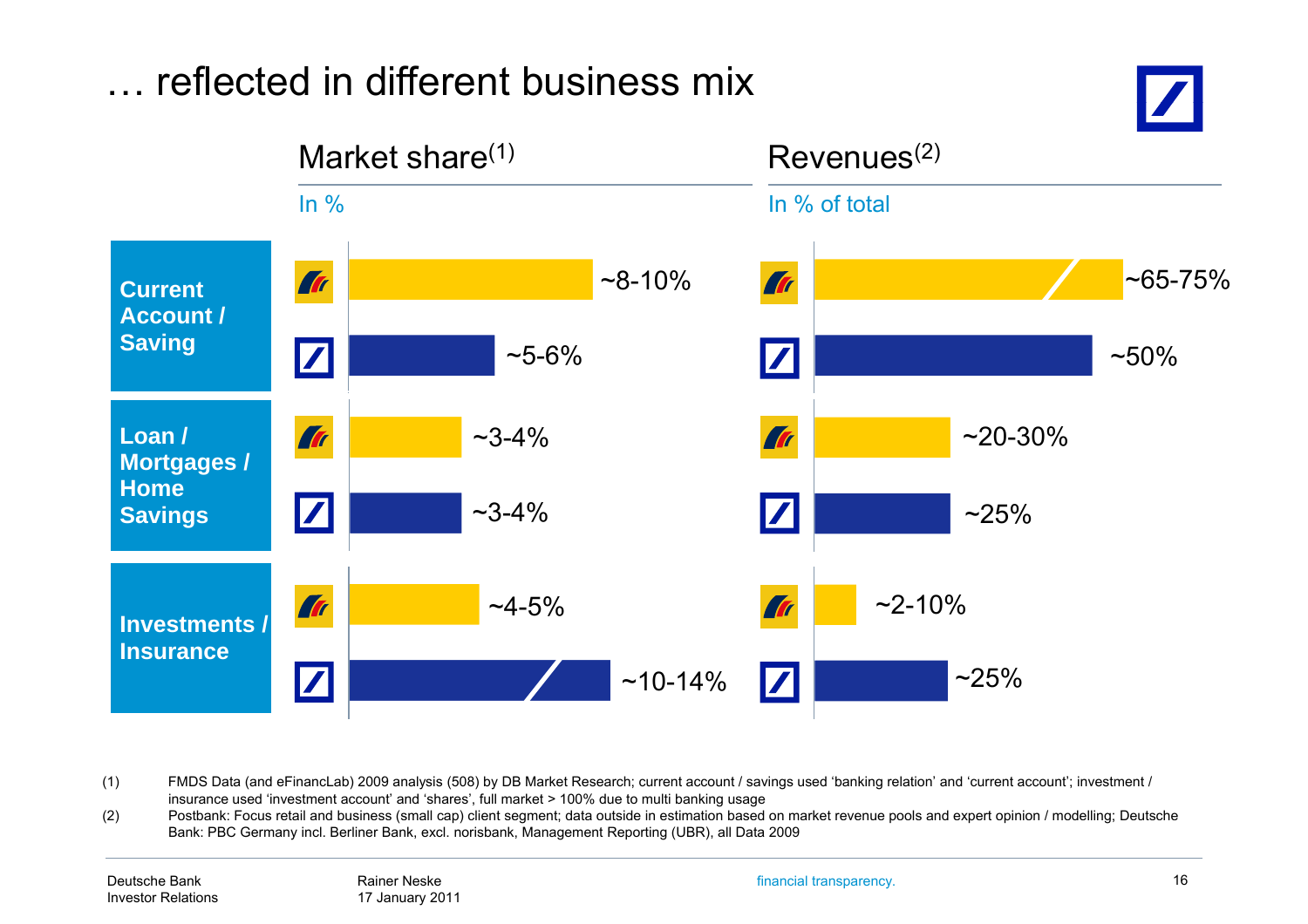

(1) FMDS Data (and eFinancLab) 2009 analysis (508) by DB Market Research; current account / savings used 'banking relation' and 'current account'; investment / insurance used 'investment account' and 'shares', full market > 100% due to multi banking usage

(2) Postbank: Focus retail and business (small cap) client segment; data outside in estimation based on market revenue pools and expert opinion / modelling; Deutsche Bank: PBC Germany incl. Berliner Bank, excl. norisbank, Management Reporting (UBR), all Data 2009

financial transparency. 16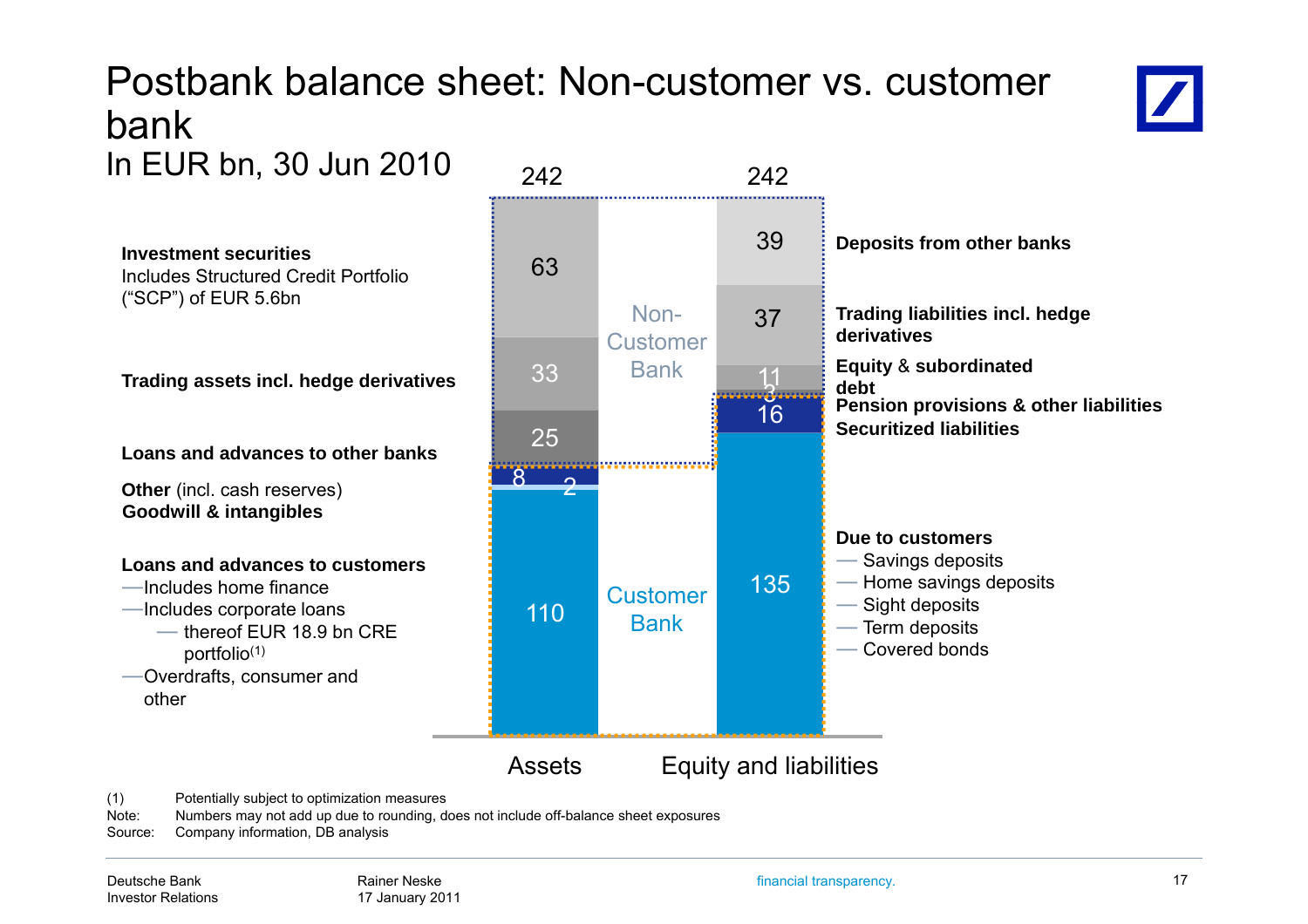### Postbank balance sheet: Non-customer vs. customer bankIn EUR bn, 30 Jun 2010  $\frac{1}{242}$  242



Includes Structured Credit Portfolio ("SCP") of EUR 5.6bn

**Other** (incl. cash reserves) **Goodwill & intangibles Goodwill**

#### **Loans and advances to customers**

- ―Includes home finance
- - ― thereof EUR 18.9 bn CRE portfolio(1)
- ―Overdrafts, consumer and other



(1) Potentially subject to optimization measures

Note: Numbers may not add up due to rounding, does not include off-balance sheet exposures

Source: Company information, DB analysis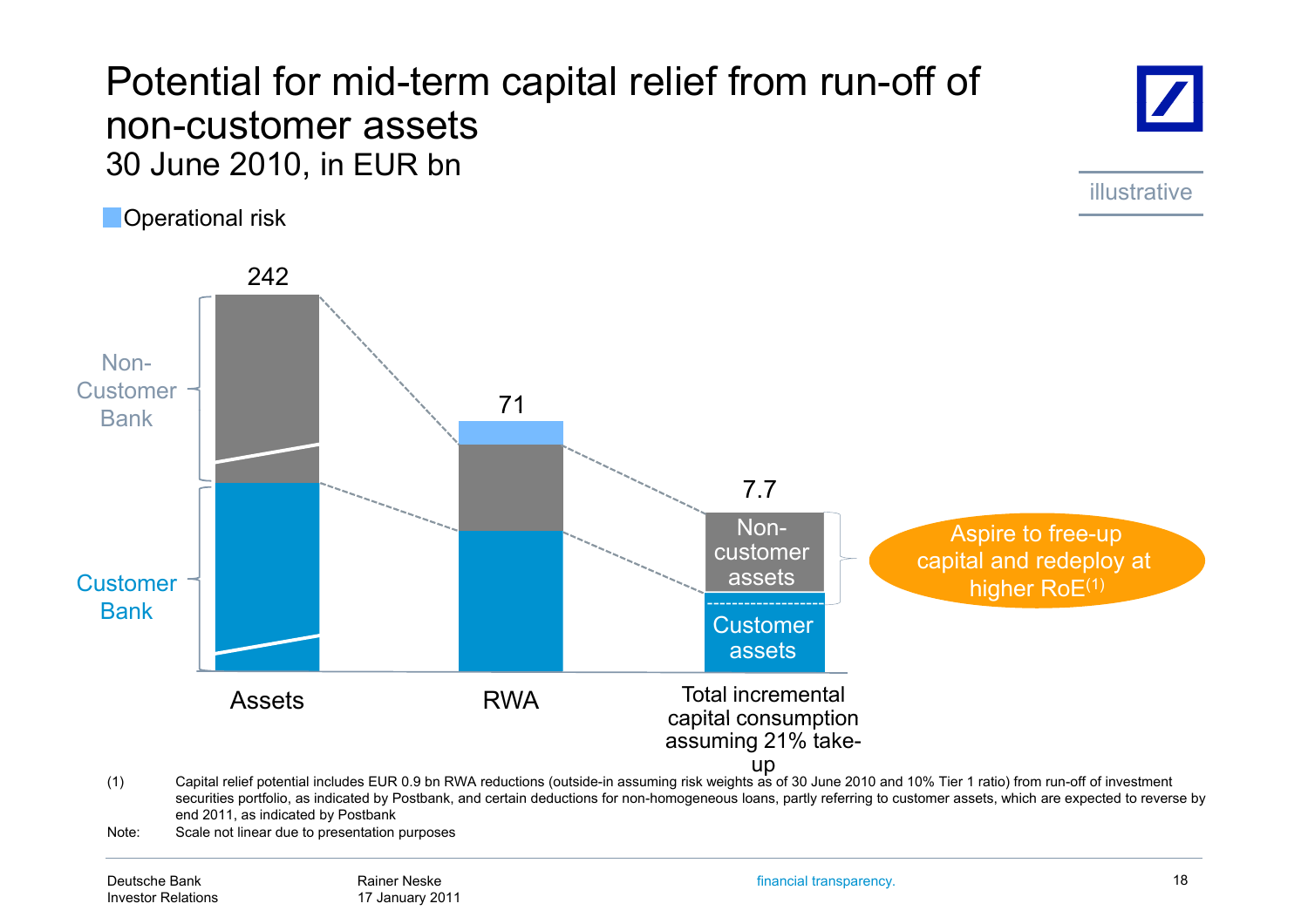### Potential for mid-term ca pital relief from run-off of non-customer assets30 June 2010, in EUR bn

**Operational risk** 

illustrative



Note: Scale not linear due to presentation purposes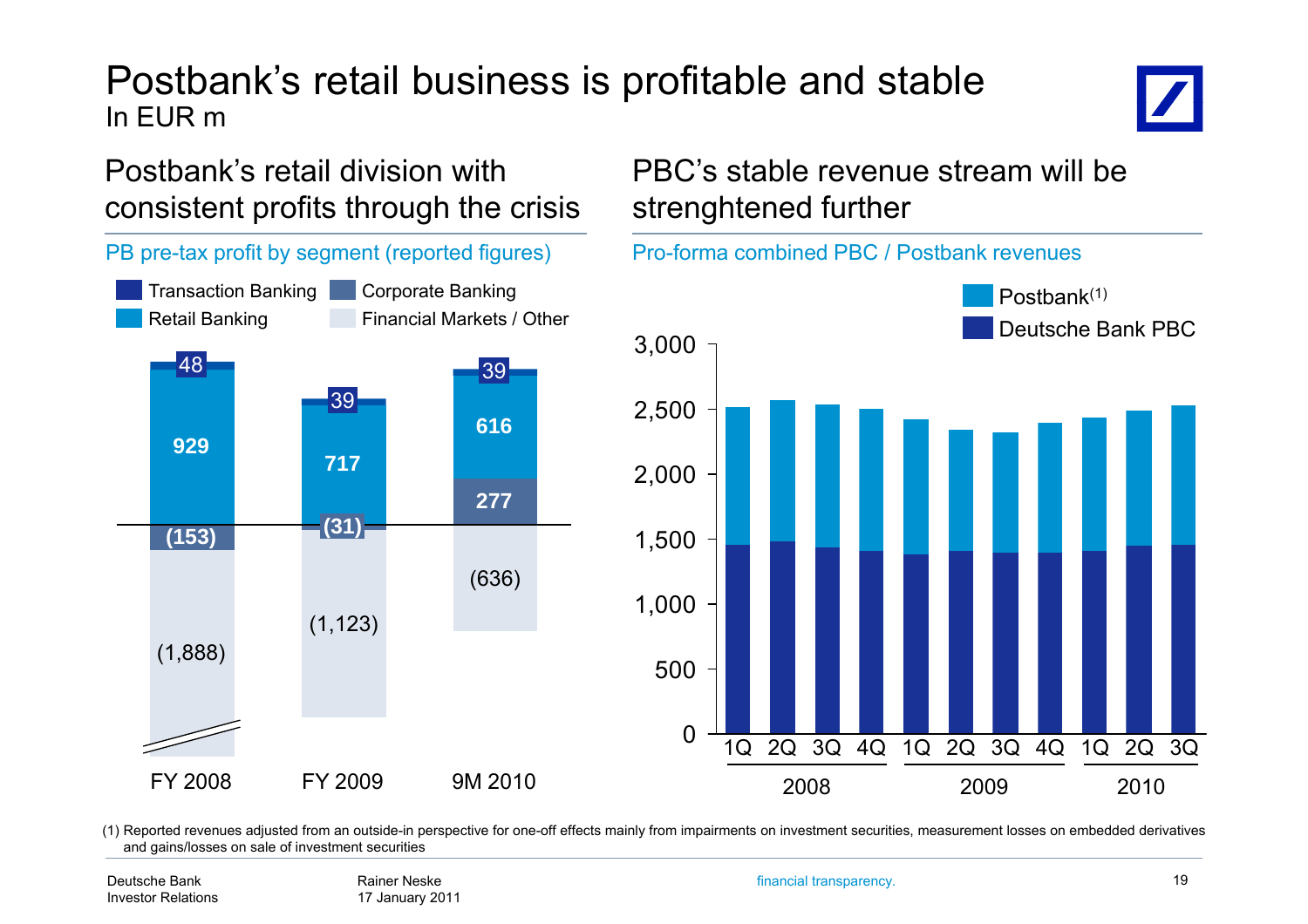#### Postbank's retail business is profitable and stable In EUR m

#### Postbank's retail division with consistent profits through the crisis



#### PBC's stable revenue stream will be strenghtened further



(1) Reported revenues adjusted from an outside-in perspective for one-off effects mainly from impairments on investment securities, measurement losses on embedded derivatives and gains/losses on sale of investment securities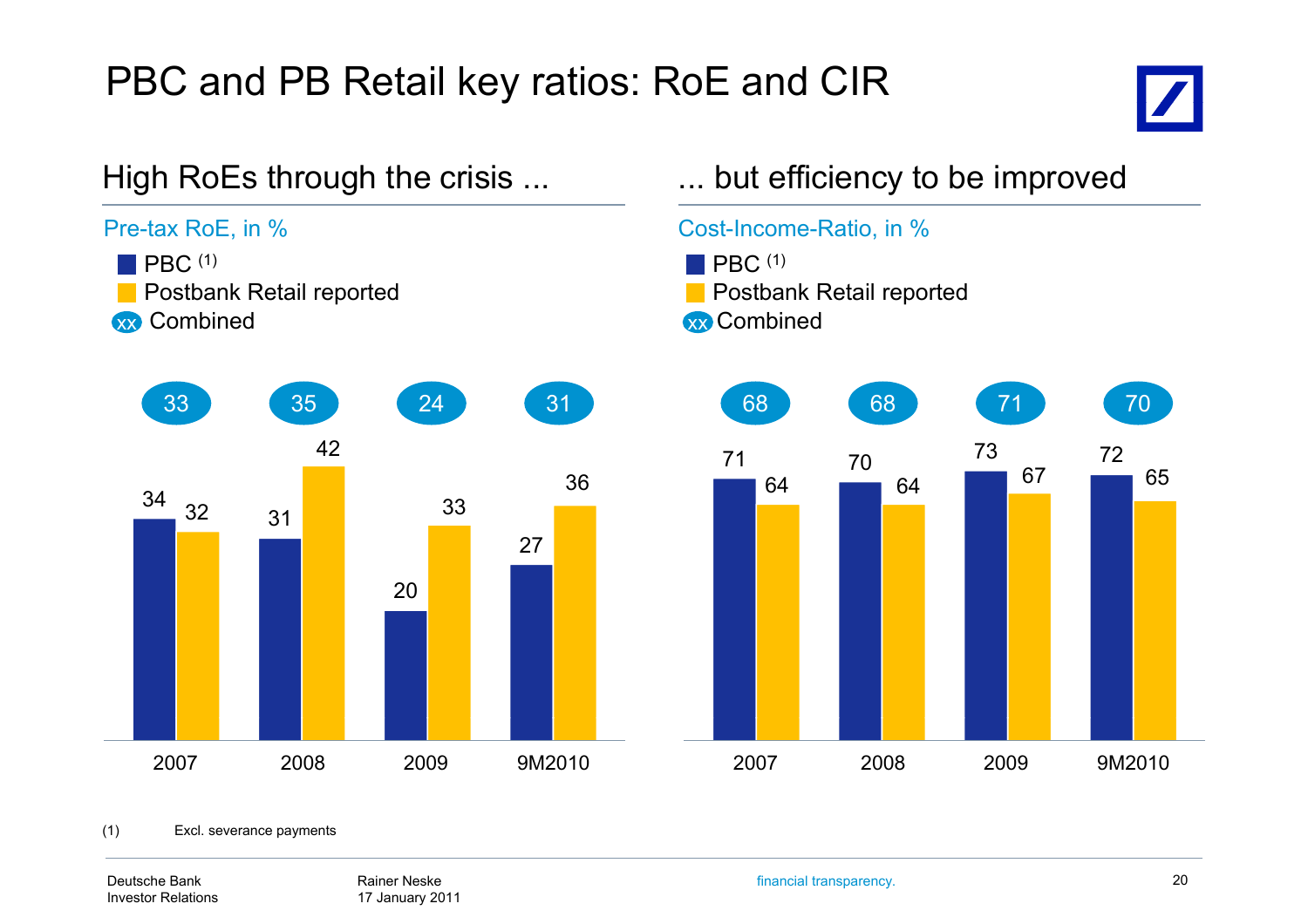## PBC and PB Retail key ratios: RoE and CIR





Deutsche BankInvestor Relations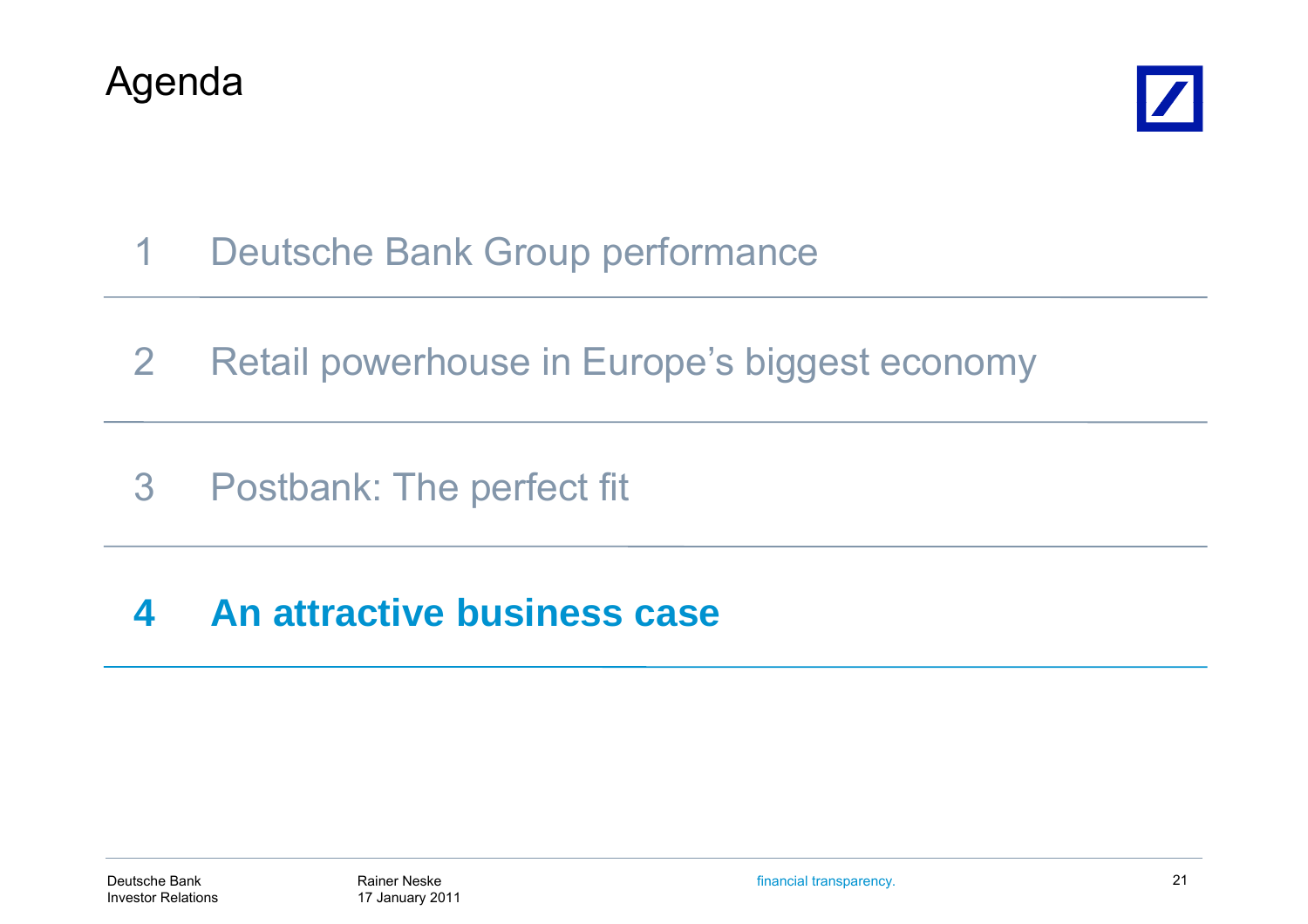



- 1Deutsche Bank Group performance
- 2Retail powerhouse in Europe's biggest economy
- 3Postbank: The perfect fit

#### **4An attractive business case attractive**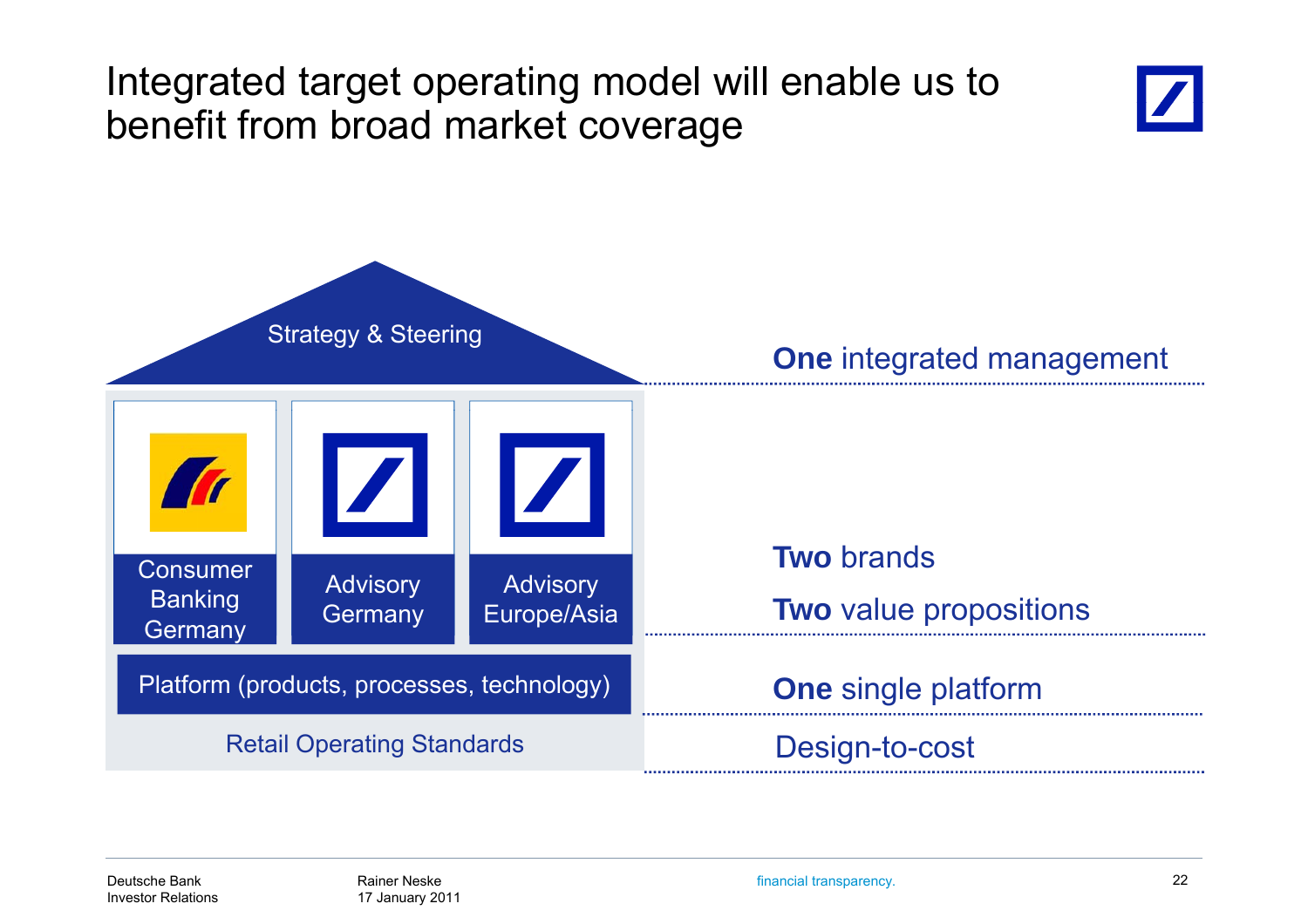## Integrated target operating model will enable us to benefit from broad market coverage





financial transparency. 22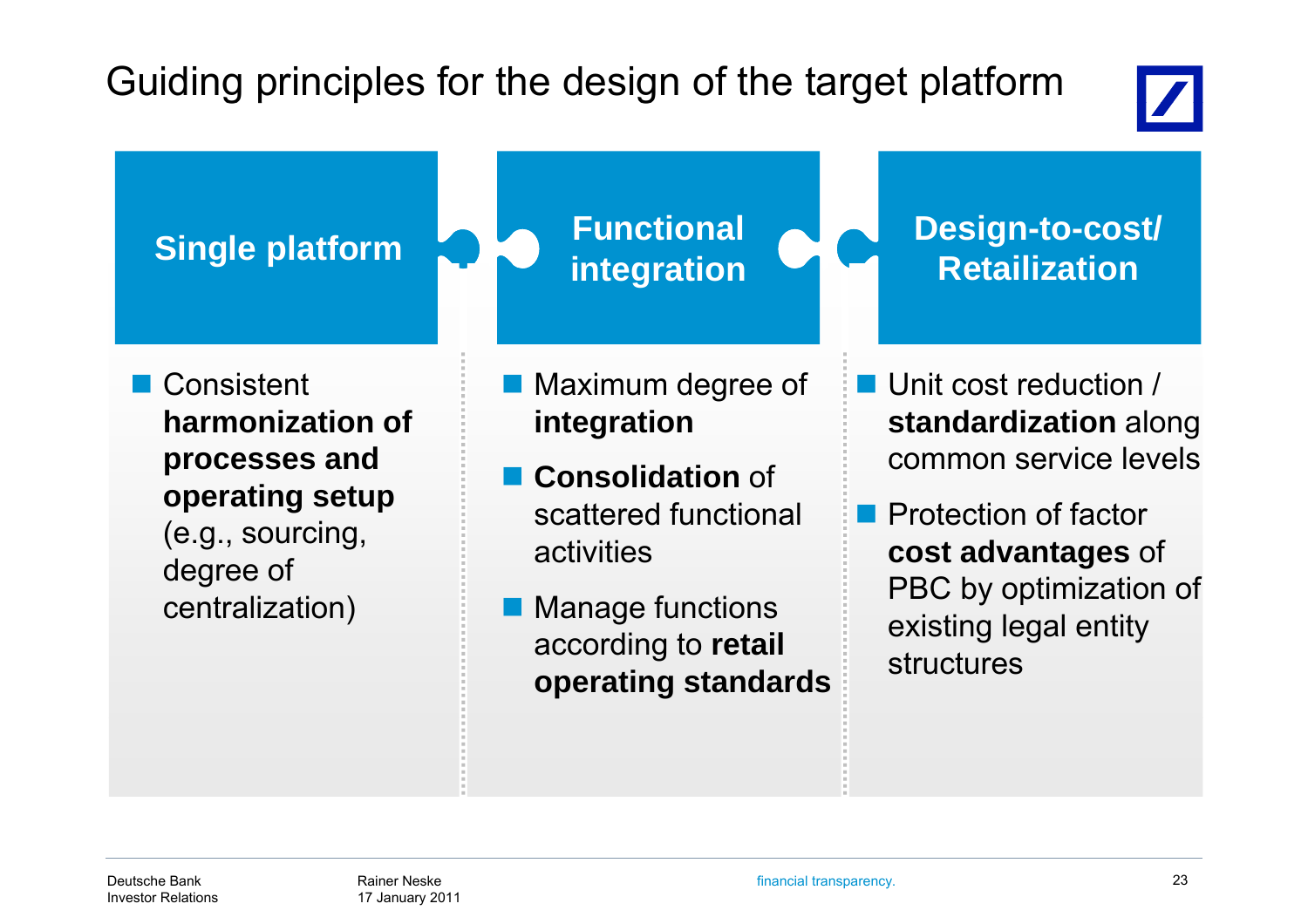## Guiding principles for the design of the target platform



**Single platform**  $\begin{array}{c} \begin{array}{c} \end{array}$  **Functional**  $\begin{array}{c} \end{array}$  **Design-to-cost/**<br> **Design-to-cost/**<br> **Retailization**  Consistent **h ii fharmonization of** Maximum degree of **i i integration** ■ Unit cost reduction / **d di i** l **standardization** along **processes and operating setup Consolidation** of scattered functionalcommon service levels**operating setup**<br>(e.g., sourcing, early discussed functional Department of factor) degree of centralization) activities Manage functions **cost advantages** of PBC by optimization of according to **retail** existing legal entity

**operating standards**

structures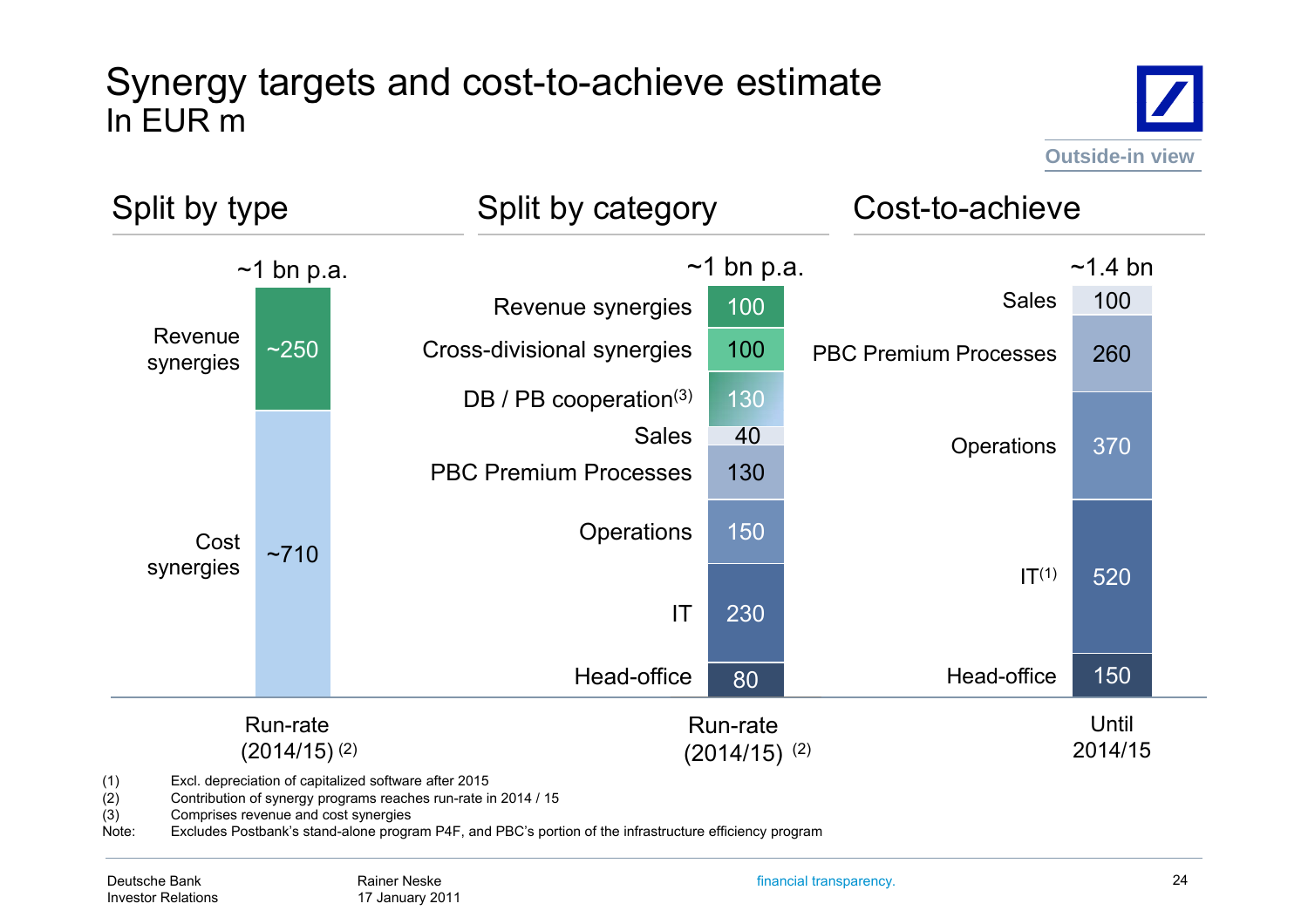#### Synergy targets and cost-to-achieve estimate In EUR m





(1) Excl. depreciation of capitalized software after 2015

Contribution of synergy programs reaches run-rate in 2014 / 15

(3) Comprises revenue and cost synergies

Note: Excludes Postbank's stand-alone program P4F, and PBC's portion of the infrastructure efficiency program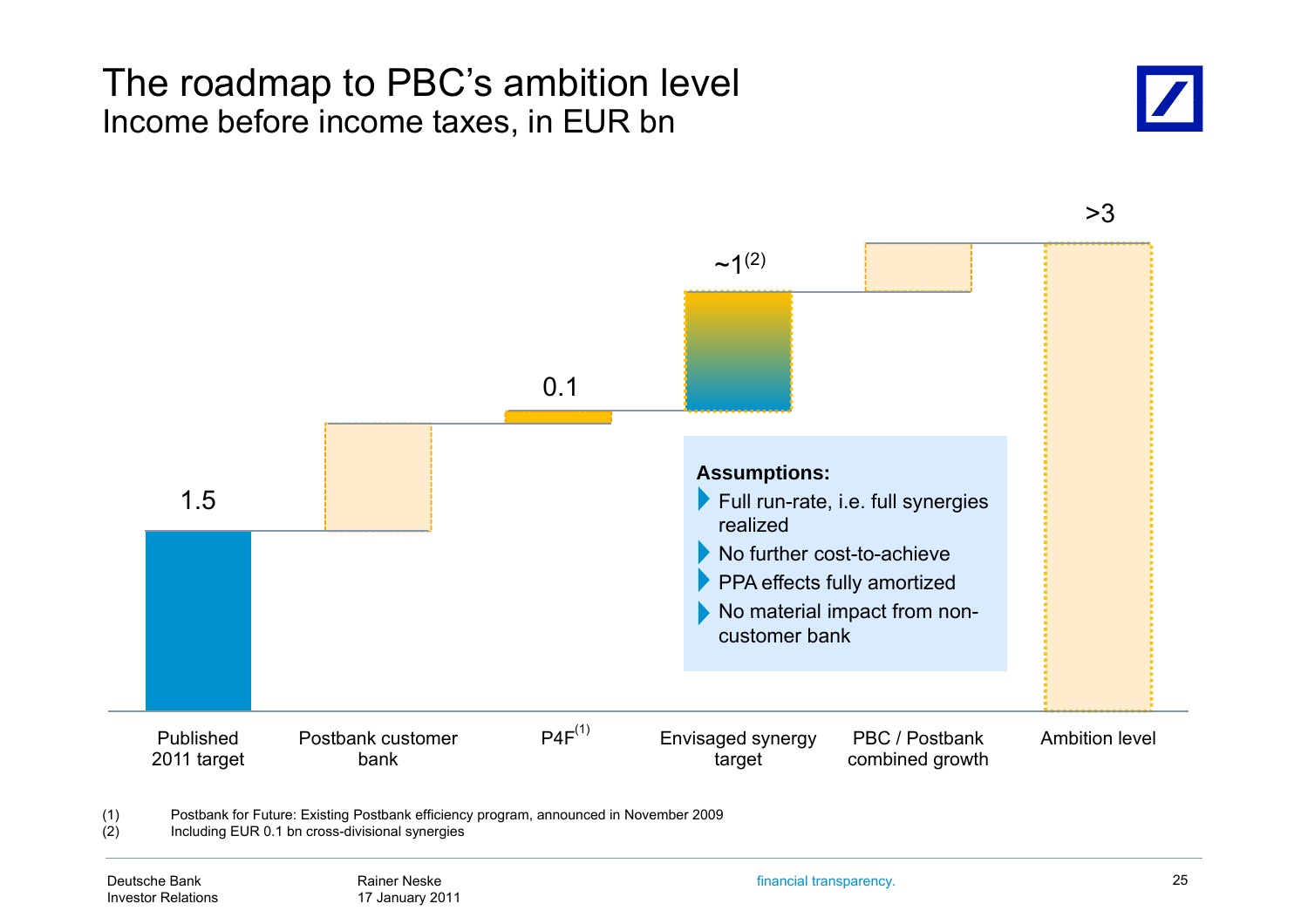#### The roadmap to PBC's ambition level Income before income taxes, in EUR bn



3> $~1(2)$ 0.11.5**Assumptions:**  $\blacktriangleright$  Full run-rate, i.e. full synergies realizedNo further cost-to-achievePPA effects fully amortized No material impact from noncustomer bankPublished 2011 target Postbank customer bankP4F<sup>(1)</sup> Envisaged synergy PBC / Postbank Ambition leve target PBC / Postbank combined growth Ambition level

(1) Postbank for Future: Existing Postbank efficiency program, announced in November 2009

(2) Including EUR 0.1 bn cross-divisional synergies

financial transparency. 25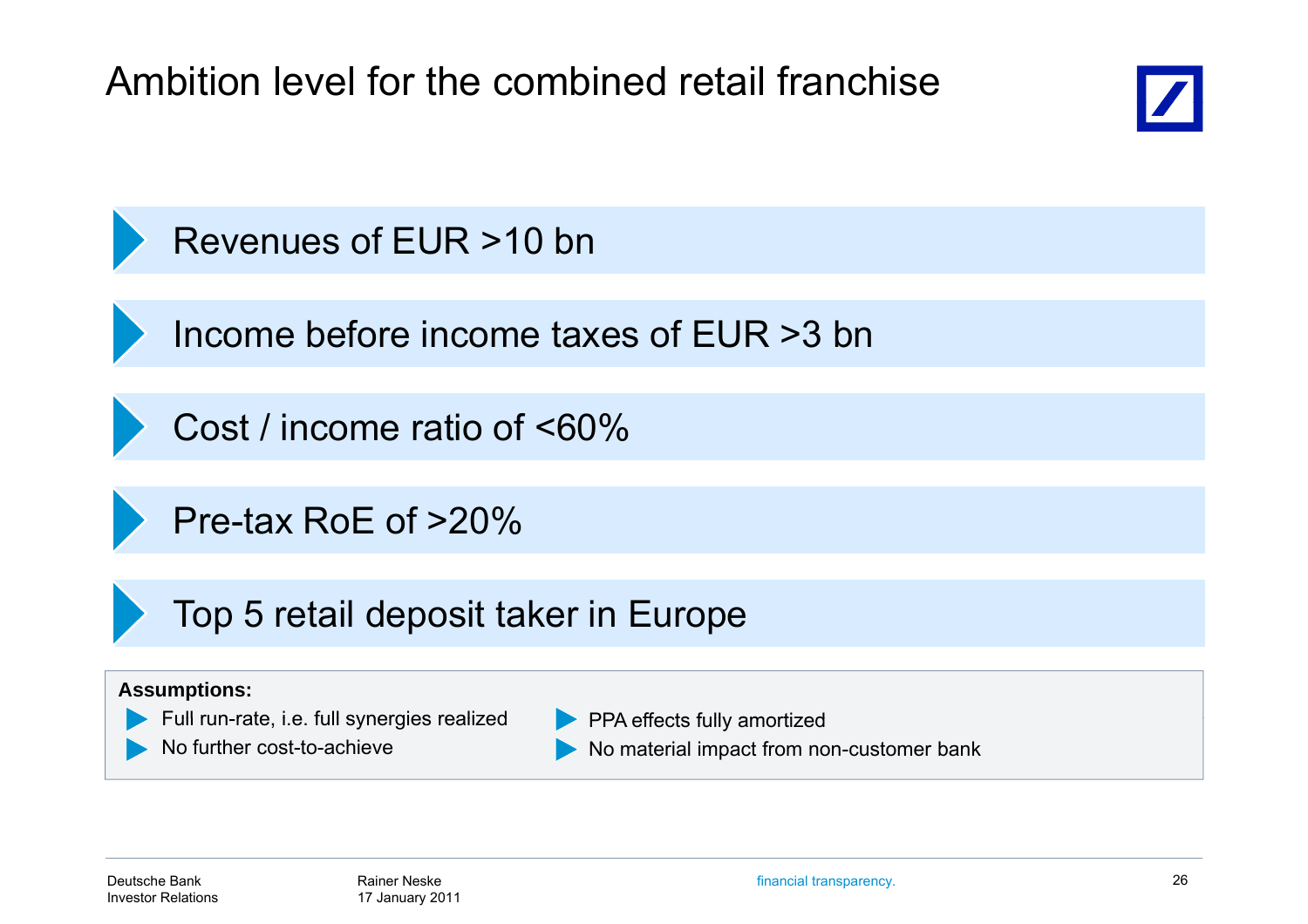Ambition level for the combined retail franchise



## Revenues of EUR >10 bn

Income before income taxes of EUR >3 bn

Cost / income ratio of <60%

Pre-tax RoE of >20%

Top 5 retail deposit taker in Europe

#### **Assumptions:**

- Full run-rate, i.e. full synergies realized **rate, i.e. PPA** effects fully amortized
- No further cost-to-achieve

PPA effects fully amortized

No material impact from non-customer bank